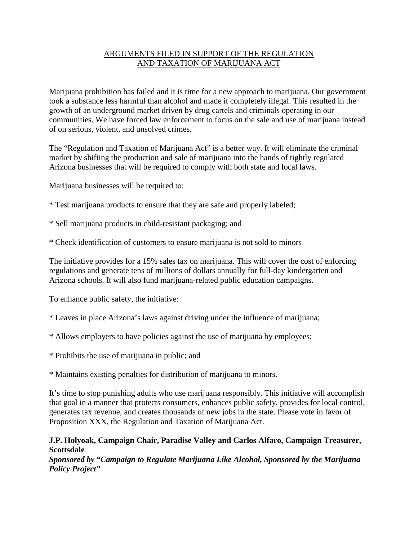# ARGUMENTS FILED IN SUPPORT OF THE REGULATION AND TAXATION OF MARIJUANA ACT

Marijuana prohibition has failed and it is time for a new approach to marijuana. Our government took a substance less harmful than alcohol and made it completely illegal. This resulted in the growth of an underground market driven by drug cartels and criminals operating in our communities. We have forced law enforcement to focus on the sale and use of marijuana instead of on serious, violent, and unsolved crimes.

The "Regulation and Taxation of Marijuana Act" is a better way. It will eliminate the criminal market by shifting the production and sale of marijuana into the hands of tightly regulated Arizona businesses that will be required to comply with both state and local laws.

Marijuana businesses will be required to:

- \* Test marijuana products to ensure that they are safe and properly labeled;
- \* Sell marijuana products in child-resistant packaging; and
- \* Check identification of customers to ensure marijuana is not sold to minors

The initiative provides for a 15% sales tax on marijuana. This will cover the cost of enforcing regulations and generate tens of millions of dollars annually for full-day kindergarten and Arizona schools. It will also fund marijuana-related public education campaigns.

To enhance public safety, the initiative:

- \* Leaves in place Arizona's laws against driving under the influence of marijuana;
- \* Allows employers to have policies against the use of marijuana by employees;
- \* Prohibits the use of marijuana in public; and

\* Maintains existing penalties for distribution of marijuana to minors.

It's time to stop punishing adults who use marijuana responsibly. This initiative will accomplish that goal in a manner that protects consumers, enhances public safety, provides for local control, generates tax revenue, and creates thousands of new jobs in the state. Please vote in favor of Proposition XXX, the Regulation and Taxation of Marijuana Act.

## **J.P. Holyoak, Campaign Chair, Paradise Valley and Carlos Alfaro, Campaign Treasurer, Scottsdale**

*Sponsored by "Campaign to Regulate Marijuana Like Alcohol, Sponsored by the Marijuana Policy Project"*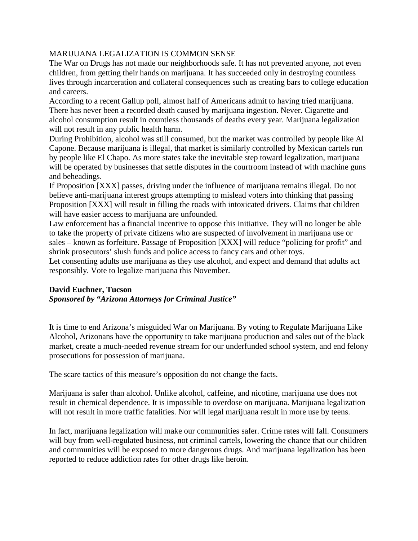# MARIJUANA LEGALIZATION IS COMMON SENSE

The War on Drugs has not made our neighborhoods safe. It has not prevented anyone, not even children, from getting their hands on marijuana. It has succeeded only in destroying countless lives through incarceration and collateral consequences such as creating bars to college education and careers.

According to a recent Gallup poll, almost half of Americans admit to having tried marijuana. There has never been a recorded death caused by marijuana ingestion. Never. Cigarette and alcohol consumption result in countless thousands of deaths every year. Marijuana legalization will not result in any public health harm.

During Prohibition, alcohol was still consumed, but the market was controlled by people like Al Capone. Because marijuana is illegal, that market is similarly controlled by Mexican cartels run by people like El Chapo. As more states take the inevitable step toward legalization, marijuana will be operated by businesses that settle disputes in the courtroom instead of with machine guns and beheadings.

If Proposition [XXX] passes, driving under the influence of marijuana remains illegal. Do not believe anti-marijuana interest groups attempting to mislead voters into thinking that passing Proposition [XXX] will result in filling the roads with intoxicated drivers. Claims that children will have easier access to marijuana are unfounded.

Law enforcement has a financial incentive to oppose this initiative. They will no longer be able to take the property of private citizens who are suspected of involvement in marijuana use or sales – known as forfeiture. Passage of Proposition [XXX] will reduce "policing for profit" and shrink prosecutors' slush funds and police access to fancy cars and other toys.

Let consenting adults use marijuana as they use alcohol, and expect and demand that adults act responsibly. Vote to legalize marijuana this November.

# **David Euchner, Tucson**

# *Sponsored by "Arizona Attorneys for Criminal Justice"*

It is time to end Arizona's misguided War on Marijuana. By voting to Regulate Marijuana Like Alcohol, Arizonans have the opportunity to take marijuana production and sales out of the black market, create a much-needed revenue stream for our underfunded school system, and end felony prosecutions for possession of marijuana.

The scare tactics of this measure's opposition do not change the facts.

Marijuana is safer than alcohol. Unlike alcohol, caffeine, and nicotine, marijuana use does not result in chemical dependence. It is impossible to overdose on marijuana. Marijuana legalization will not result in more traffic fatalities. Nor will legal marijuana result in more use by teens.

In fact, marijuana legalization will make our communities safer. Crime rates will fall. Consumers will buy from well-regulated business, not criminal cartels, lowering the chance that our children and communities will be exposed to more dangerous drugs. And marijuana legalization has been reported to reduce addiction rates for other drugs like heroin.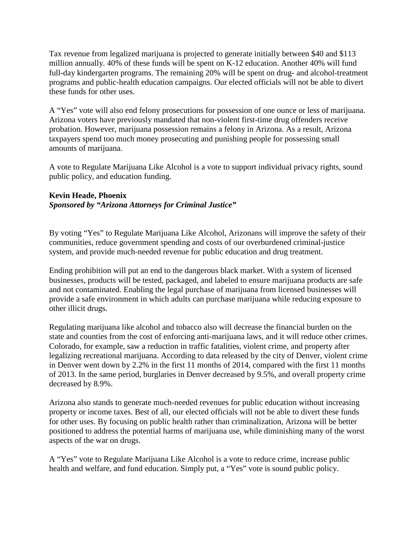Tax revenue from legalized marijuana is projected to generate initially between \$40 and \$113 million annually. 40% of these funds will be spent on K-12 education. Another 40% will fund full-day kindergarten programs. The remaining 20% will be spent on drug- and alcohol-treatment programs and public-health education campaigns. Our elected officials will not be able to divert these funds for other uses.

A "Yes" vote will also end felony prosecutions for possession of one ounce or less of marijuana. Arizona voters have previously mandated that non-violent first-time drug offenders receive probation. However, marijuana possession remains a felony in Arizona. As a result, Arizona taxpayers spend too much money prosecuting and punishing people for possessing small amounts of marijuana.

A vote to Regulate Marijuana Like Alcohol is a vote to support individual privacy rights, sound public policy, and education funding.

#### **Kevin Heade, Phoenix** *Sponsored by "Arizona Attorneys for Criminal Justice"*

By voting "Yes" to Regulate Marijuana Like Alcohol, Arizonans will improve the safety of their communities, reduce government spending and costs of our overburdened criminal-justice system, and provide much-needed revenue for public education and drug treatment.

Ending prohibition will put an end to the dangerous black market. With a system of licensed businesses, products will be tested, packaged, and labeled to ensure marijuana products are safe and not contaminated. Enabling the legal purchase of marijuana from licensed businesses will provide a safe environment in which adults can purchase marijuana while reducing exposure to other illicit drugs.

Regulating marijuana like alcohol and tobacco also will decrease the financial burden on the state and counties from the cost of enforcing anti-marijuana laws, and it will reduce other crimes. Colorado, for example, saw a reduction in traffic fatalities, violent crime, and property after legalizing recreational marijuana. According to data released by the city of Denver, violent crime in Denver went down by 2.2% in the first 11 months of 2014, compared with the first 11 months of 2013. In the same period, burglaries in Denver decreased by 9.5%, and overall property crime decreased by 8.9%.

Arizona also stands to generate much-needed revenues for public education without increasing property or income taxes. Best of all, our elected officials will not be able to divert these funds for other uses. By focusing on public health rather than criminalization, Arizona will be better positioned to address the potential harms of marijuana use, while diminishing many of the worst aspects of the war on drugs.

A "Yes" vote to Regulate Marijuana Like Alcohol is a vote to reduce crime, increase public health and welfare, and fund education. Simply put, a "Yes" vote is sound public policy.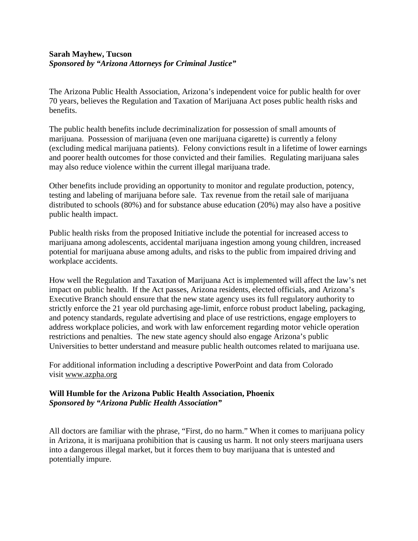### **Sarah Mayhew, Tucson** *Sponsored by "Arizona Attorneys for Criminal Justice"*

The Arizona Public Health Association, Arizona's independent voice for public health for over 70 years, believes the Regulation and Taxation of Marijuana Act poses public health risks and benefits.

The public health benefits include decriminalization for possession of small amounts of marijuana. Possession of marijuana (even one marijuana cigarette) is currently a felony (excluding medical marijuana patients). Felony convictions result in a lifetime of lower earnings and poorer health outcomes for those convicted and their families. Regulating marijuana sales may also reduce violence within the current illegal marijuana trade.

Other benefits include providing an opportunity to monitor and regulate production, potency, testing and labeling of marijuana before sale. Tax revenue from the retail sale of marijuana distributed to schools (80%) and for substance abuse education (20%) may also have a positive public health impact.

Public health risks from the proposed Initiative include the potential for increased access to marijuana among adolescents, accidental marijuana ingestion among young children, increased potential for marijuana abuse among adults, and risks to the public from impaired driving and workplace accidents.

How well the Regulation and Taxation of Marijuana Act is implemented will affect the law's net impact on public health. If the Act passes, Arizona residents, elected officials, and Arizona's Executive Branch should ensure that the new state agency uses its full regulatory authority to strictly enforce the 21 year old purchasing age-limit, enforce robust product labeling, packaging, and potency standards, regulate advertising and place of use restrictions, engage employers to address workplace policies, and work with law enforcement regarding motor vehicle operation restrictions and penalties. The new state agency should also engage Arizona's public Universities to better understand and measure public health outcomes related to marijuana use.

For additional information including a descriptive PowerPoint and data from Colorado visit www.azpha.org

## **Will Humble for the Arizona Public Health Association, Phoenix** *Sponsored by "Arizona Public Health Association"*

All doctors are familiar with the phrase, "First, do no harm." When it comes to marijuana policy in Arizona, it is marijuana prohibition that is causing us harm. It not only steers marijuana users into a dangerous illegal market, but it forces them to buy marijuana that is untested and potentially impure.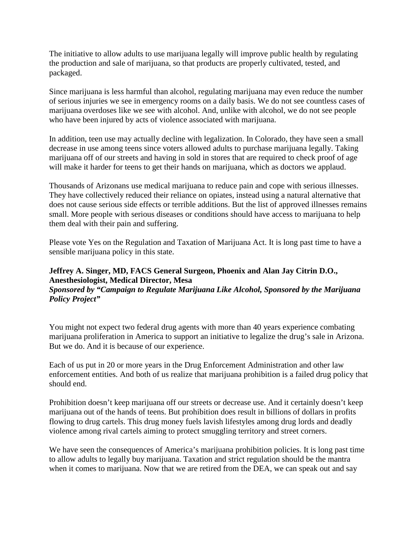The initiative to allow adults to use marijuana legally will improve public health by regulating the production and sale of marijuana, so that products are properly cultivated, tested, and packaged.

Since marijuana is less harmful than alcohol, regulating marijuana may even reduce the number of serious injuries we see in emergency rooms on a daily basis. We do not see countless cases of marijuana overdoses like we see with alcohol. And, unlike with alcohol, we do not see people who have been injured by acts of violence associated with marijuana.

In addition, teen use may actually decline with legalization. In Colorado, they have seen a small decrease in use among teens since voters allowed adults to purchase marijuana legally. Taking marijuana off of our streets and having in sold in stores that are required to check proof of age will make it harder for teens to get their hands on marijuana, which as doctors we applaud.

Thousands of Arizonans use medical marijuana to reduce pain and cope with serious illnesses. They have collectively reduced their reliance on opiates, instead using a natural alternative that does not cause serious side effects or terrible additions. But the list of approved illnesses remains small. More people with serious diseases or conditions should have access to marijuana to help them deal with their pain and suffering.

Please vote Yes on the Regulation and Taxation of Marijuana Act. It is long past time to have a sensible marijuana policy in this state.

## **Jeffrey A. Singer, MD, FACS General Surgeon, Phoenix and Alan Jay Citrin D.O., Anesthesiologist, Medical Director, Mesa** *Sponsored by "Campaign to Regulate Marijuana Like Alcohol, Sponsored by the Marijuana Policy Project"*

You might not expect two federal drug agents with more than 40 years experience combating marijuana proliferation in America to support an initiative to legalize the drug's sale in Arizona. But we do. And it is because of our experience.

Each of us put in 20 or more years in the Drug Enforcement Administration and other law enforcement entities. And both of us realize that marijuana prohibition is a failed drug policy that should end.

Prohibition doesn't keep marijuana off our streets or decrease use. And it certainly doesn't keep marijuana out of the hands of teens. But prohibition does result in billions of dollars in profits flowing to drug cartels. This drug money fuels lavish lifestyles among drug lords and deadly violence among rival cartels aiming to protect smuggling territory and street corners.

We have seen the consequences of America's marijuana prohibition policies. It is long past time to allow adults to legally buy marijuana. Taxation and strict regulation should be the mantra when it comes to marijuana. Now that we are retired from the DEA, we can speak out and say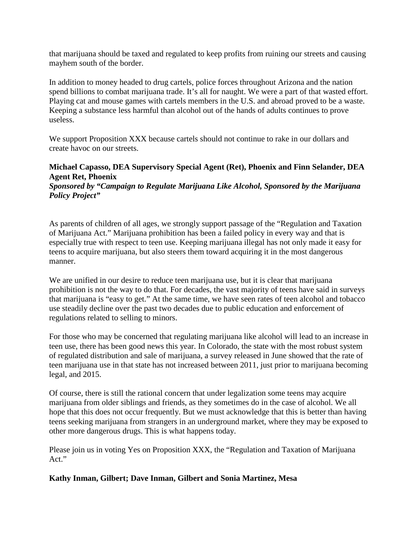that marijuana should be taxed and regulated to keep profits from ruining our streets and causing mayhem south of the border.

In addition to money headed to drug cartels, police forces throughout Arizona and the nation spend billions to combat marijuana trade. It's all for naught. We were a part of that wasted effort. Playing cat and mouse games with cartels members in the U.S. and abroad proved to be a waste. Keeping a substance less harmful than alcohol out of the hands of adults continues to prove useless.

We support Proposition XXX because cartels should not continue to rake in our dollars and create havoc on our streets.

# **Michael Capasso, DEA Supervisory Special Agent (Ret), Phoenix and Finn Selander, DEA Agent Ret, Phoenix**

*Sponsored by "Campaign to Regulate Marijuana Like Alcohol, Sponsored by the Marijuana Policy Project"*

As parents of children of all ages, we strongly support passage of the "Regulation and Taxation of Marijuana Act." Marijuana prohibition has been a failed policy in every way and that is especially true with respect to teen use. Keeping marijuana illegal has not only made it easy for teens to acquire marijuana, but also steers them toward acquiring it in the most dangerous manner.

We are unified in our desire to reduce teen marijuana use, but it is clear that marijuana prohibition is not the way to do that. For decades, the vast majority of teens have said in surveys that marijuana is "easy to get." At the same time, we have seen rates of teen alcohol and tobacco use steadily decline over the past two decades due to public education and enforcement of regulations related to selling to minors.

For those who may be concerned that regulating marijuana like alcohol will lead to an increase in teen use, there has been good news this year. In Colorado, the state with the most robust system of regulated distribution and sale of marijuana, a survey released in June showed that the rate of teen marijuana use in that state has not increased between 2011, just prior to marijuana becoming legal, and 2015.

Of course, there is still the rational concern that under legalization some teens may acquire marijuana from older siblings and friends, as they sometimes do in the case of alcohol. We all hope that this does not occur frequently. But we must acknowledge that this is better than having teens seeking marijuana from strangers in an underground market, where they may be exposed to other more dangerous drugs. This is what happens today.

Please join us in voting Yes on Proposition XXX, the "Regulation and Taxation of Marijuana Act."

# **Kathy Inman, Gilbert; Dave Inman, Gilbert and Sonia Martinez, Mesa**